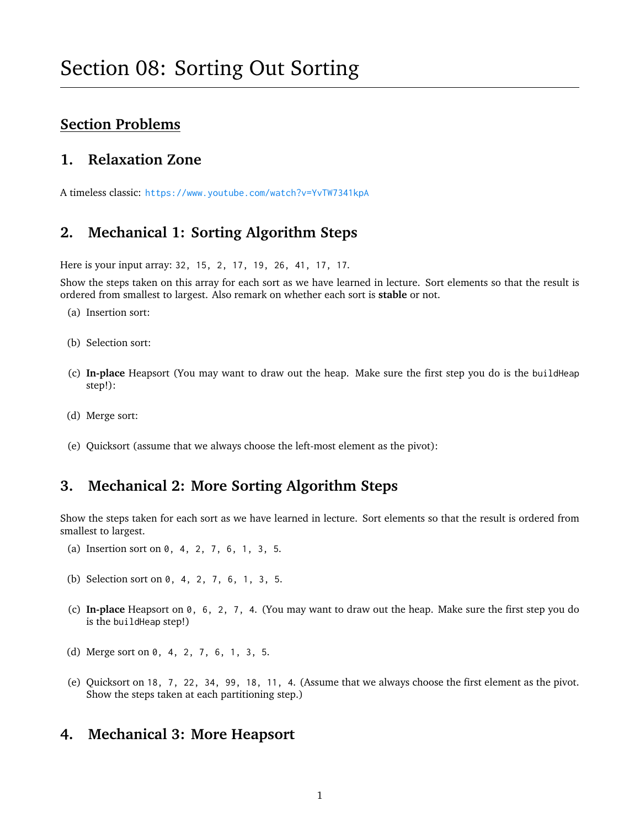# **Section Problems**

## **1. Relaxation Zone**

A timeless classic: <https://www.youtube.com/watch?v=YvTW7341kpA>

## **2. Mechanical 1: Sorting Algorithm Steps**

Here is your input array: 32, 15, 2, 17, 19, 26, 41, 17, 17.

Show the steps taken on this array for each sort as we have learned in lecture. Sort elements so that the result is ordered from smallest to largest. Also remark on whether each sort is **stable** or not.

- (a) Insertion sort:
- (b) Selection sort:
- (c) **In-place** Heapsort (You may want to draw out the heap. Make sure the first step you do is the buildHeap step!):
- (d) Merge sort:
- (e) Quicksort (assume that we always choose the left-most element as the pivot):

## **3. Mechanical 2: More Sorting Algorithm Steps**

Show the steps taken for each sort as we have learned in lecture. Sort elements so that the result is ordered from smallest to largest.

- (a) Insertion sort on 0, 4, 2, 7, 6, 1, 3, 5.
- (b) Selection sort on 0, 4, 2, 7, 6, 1, 3, 5.
- (c) **In-place** Heapsort on 0, 6, 2, 7, 4. (You may want to draw out the heap. Make sure the first step you do is the buildHeap step!)
- (d) Merge sort on 0, 4, 2, 7, 6, 1, 3, 5.
- (e) Quicksort on 18, 7, 22, 34, 99, 18, 11, 4. (Assume that we always choose the first element as the pivot. Show the steps taken at each partitioning step.)

#### **4. Mechanical 3: More Heapsort**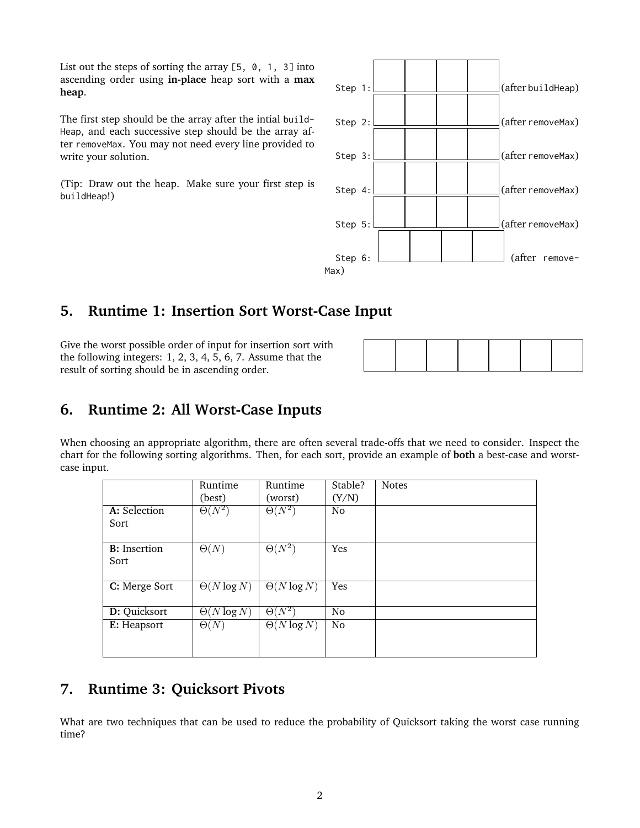List out the steps of sorting the array  $[5, 0, 1, 3]$  into ascending order using **in-place** heap sort with a **max heap**.

The first step should be the array after the intial build-Heap, and each successive step should be the array after removeMax. You may not need every line provided to write your solution.

(Tip: Draw out the heap. Make sure your first step is buildHeap!)



## **5. Runtime 1: Insertion Sort Worst-Case Input**

Give the worst possible order of input for insertion sort with the following integers: 1, 2, 3, 4, 5, 6, 7. Assume that the result of sorting should be in ascending order.

# **6. Runtime 2: All Worst-Case Inputs**

When choosing an appropriate algorithm, there are often several trade-offs that we need to consider. Inspect the chart for the following sorting algorithms. Then, for each sort, provide an example of **both** a best-case and worstcase input.

|                      | Runtime                       | Runtime            | Stable?        | <b>Notes</b> |
|----------------------|-------------------------------|--------------------|----------------|--------------|
|                      | (best)                        | (worst)            | (Y/N)          |              |
| A: Selection         | $\Theta(N^2)$                 | $\Theta(N^2)$      | N <sub>o</sub> |              |
| Sort                 |                               |                    |                |              |
|                      |                               |                    |                |              |
| <b>B</b> : Insertion | $\Theta(N)$                   | $\Theta(N^2)$      | Yes            |              |
| Sort                 |                               |                    |                |              |
|                      |                               |                    |                |              |
| C: Merge Sort        | $\overline{\Theta(N \log N)}$ | $\Theta(N \log N)$ | Yes            |              |
|                      |                               |                    |                |              |
| D: Quicksort         | $\overline{\Theta(N \log N)}$ | $\Theta(N^2)$      | N <sub>o</sub> |              |
| E: Heapsort          | $\Theta(N)$                   | $\Theta(N \log N)$ | N <sub>o</sub> |              |
|                      |                               |                    |                |              |
|                      |                               |                    |                |              |

# **7. Runtime 3: Quicksort Pivots**

What are two techniques that can be used to reduce the probability of Quicksort taking the worst case running time?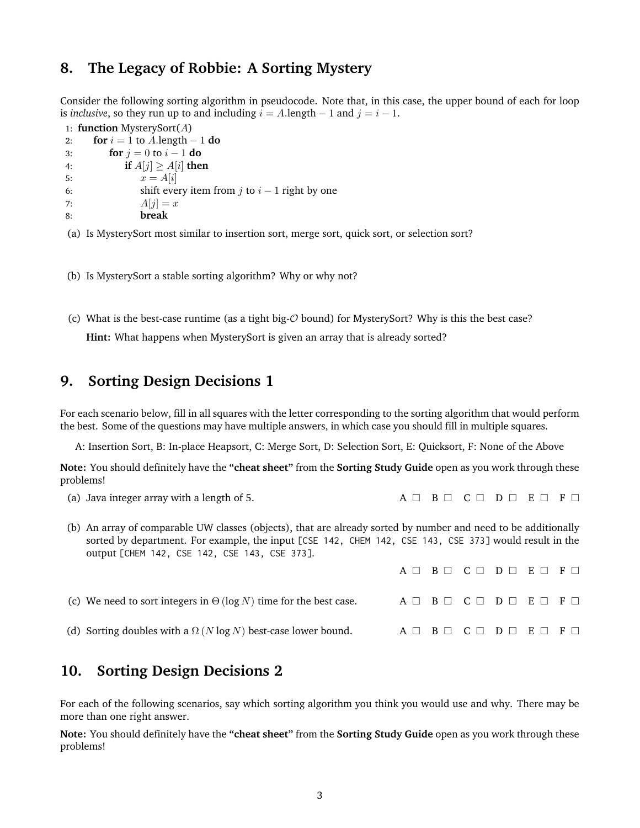#### **8. The Legacy of Robbie: A Sorting Mystery**

Consider the following sorting algorithm in pseudocode. Note that, in this case, the upper bound of each for loop is *inclusive*, so they run up to and including  $i = A$ . length  $-1$  and  $j = i - 1$ .

```
1: function MysterySort(A)
2: for i = 1 to A.length -1 do
3: for j = 0 to i - 1 do
4: if A[j] \geq A[i] then
5: x = A[i]6: shift every item from j to i - 1 right by one
7: A[i] = x8: break
```
(a) Is MysterySort most similar to insertion sort, merge sort, quick sort, or selection sort?

(b) Is MysterySort a stable sorting algorithm? Why or why not?

(c) What is the best-case runtime (as a tight big- $\mathcal O$  bound) for MysterySort? Why is this the best case? **Hint:** What happens when MysterySort is given an array that is already sorted?

## **9. Sorting Design Decisions 1**

For each scenario below, fill in all squares with the letter corresponding to the sorting algorithm that would perform the best. Some of the questions may have multiple answers, in which case you should fill in multiple squares.

A: Insertion Sort, B: In-place Heapsort, C: Merge Sort, D: Selection Sort, E: Quicksort, F: None of the Above

**Note:** You should definitely have the **"cheat sheet"** from the **Sorting Study Guide** open as you work through these problems!

- (a) Java integer array with a length of 5. A  $\Box$  B  $\Box$  C  $\Box$  D  $\Box$  E  $\Box$  F  $\Box$
- (b) An array of comparable UW classes (objects), that are already sorted by number and need to be additionally sorted by department. For example, the input [CSE 142, CHEM 142, CSE 143, CSE 373] would result in the output [CHEM 142, CSE 142, CSE 143, CSE 373].

|                                                                          |  | $A \Box B \Box C \Box D \Box E \Box F \Box$           |  |
|--------------------------------------------------------------------------|--|-------------------------------------------------------|--|
| (c) We need to sort integers in $\Theta(\log N)$ time for the best case. |  | A $\Box$ B $\Box$ C $\Box$ D $\Box$ E $\Box$ F $\Box$ |  |
| (d) Sorting doubles with a $\Omega$ (N log N) best-case lower bound.     |  | A $\Box$ B $\Box$ C $\Box$ D $\Box$ E $\Box$ F $\Box$ |  |

# **10. Sorting Design Decisions 2**

For each of the following scenarios, say which sorting algorithm you think you would use and why. There may be more than one right answer.

**Note:** You should definitely have the **"cheat sheet"** from the **Sorting Study Guide** open as you work through these problems!